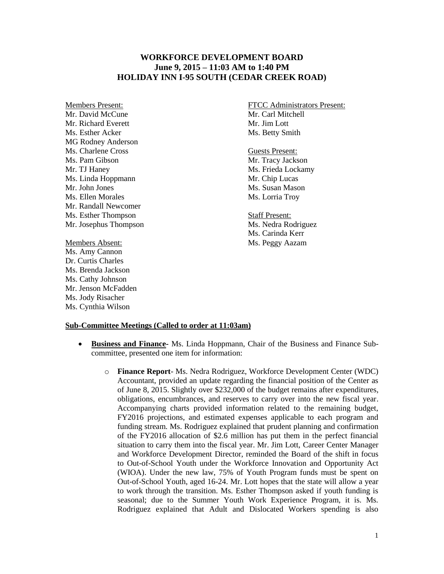## **WORKFORCE DEVELOPMENT BOARD June 9, 2015 – 11:03 AM to 1:40 PM HOLIDAY INN I-95 SOUTH (CEDAR CREEK ROAD)**

Mr. David McCune Mr. Carl Mitchell Mr. Richard Everett Mr. Jim Lott Ms. Esther Acker Ms. Betty Smith MG Rodney Anderson Ms. Charlene Cross Guests Present: Ms. Pam Gibson Mr. Tracy Jackson Mr. TJ Haney Ms. Frieda Lockamy Ms. Linda Hoppmann Mr. Chip Lucas Mr. John Jones Ms. Susan Mason Ms. Ellen Morales Ms. Lorria Troy Mr. Randall Newcomer Ms. Esther Thompson Staff Present: Mr. Josephus Thompson Ms. Nedra Rodriguez

Ms. Amy Cannon Dr. Curtis Charles Ms. Brenda Jackson Ms. Cathy Johnson Mr. Jenson McFadden Ms. Jody Risacher Ms. Cynthia Wilson

Members Present: FTCC Administrators Present:

Ms. Carinda Kerr Members Absent: Ms. Peggy Aazam

## **Sub-Committee Meetings (Called to order at 11:03am)**

- **Business and Finance-** Ms. Linda Hoppmann, Chair of the Business and Finance Subcommittee, presented one item for information:
	- o **Finance Report** Ms. Nedra Rodriguez, Workforce Development Center (WDC) Accountant, provided an update regarding the financial position of the Center as of June 8, 2015. Slightly over \$232,000 of the budget remains after expenditures, obligations, encumbrances, and reserves to carry over into the new fiscal year. Accompanying charts provided information related to the remaining budget, FY2016 projections, and estimated expenses applicable to each program and funding stream. Ms. Rodriguez explained that prudent planning and confirmation of the FY2016 allocation of \$2.6 million has put them in the perfect financial situation to carry them into the fiscal year. Mr. Jim Lott, Career Center Manager and Workforce Development Director, reminded the Board of the shift in focus to Out-of-School Youth under the Workforce Innovation and Opportunity Act (WIOA). Under the new law, 75% of Youth Program funds must be spent on Out-of-School Youth, aged 16-24. Mr. Lott hopes that the state will allow a year to work through the transition. Ms. Esther Thompson asked if youth funding is seasonal; due to the Summer Youth Work Experience Program, it is. Ms. Rodriguez explained that Adult and Dislocated Workers spending is also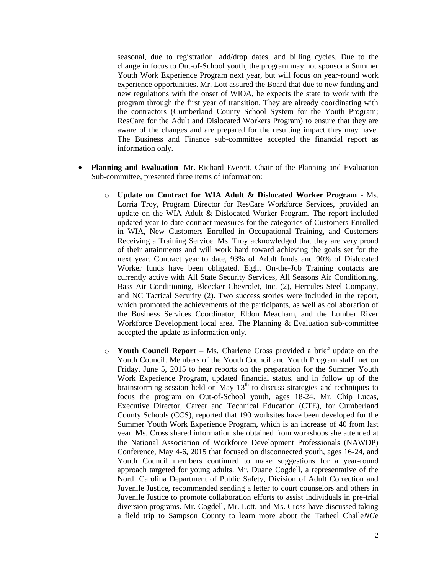seasonal, due to registration, add/drop dates, and billing cycles. Due to the change in focus to Out-of-School youth, the program may not sponsor a Summer Youth Work Experience Program next year, but will focus on year-round work experience opportunities. Mr. Lott assured the Board that due to new funding and new regulations with the onset of WIOA, he expects the state to work with the program through the first year of transition. They are already coordinating with the contractors (Cumberland County School System for the Youth Program; ResCare for the Adult and Dislocated Workers Program) to ensure that they are aware of the changes and are prepared for the resulting impact they may have. The Business and Finance sub-committee accepted the financial report as information only.

- **Planning and Evaluation** Mr. Richard Everett, Chair of the Planning and Evaluation Sub-committee, presented three items of information:
	- o **Update on Contract for WIA Adult & Dislocated Worker Program -** Ms. Lorria Troy, Program Director for ResCare Workforce Services, provided an update on the WIA Adult & Dislocated Worker Program. The report included updated year-to-date contract measures for the categories of Customers Enrolled in WIA, New Customers Enrolled in Occupational Training, and Customers Receiving a Training Service. Ms. Troy acknowledged that they are very proud of their attainments and will work hard toward achieving the goals set for the next year. Contract year to date, 93% of Adult funds and 90% of Dislocated Worker funds have been obligated. Eight On-the-Job Training contacts are currently active with All State Security Services, All Seasons Air Conditioning, Bass Air Conditioning, Bleecker Chevrolet, Inc. (2), Hercules Steel Company, and NC Tactical Security (2). Two success stories were included in the report, which promoted the achievements of the participants, as well as collaboration of the Business Services Coordinator, Eldon Meacham, and the Lumber River Workforce Development local area. The Planning & Evaluation sub-committee accepted the update as information only.
	- o **Youth Council Report**  Ms. Charlene Cross provided a brief update on the Youth Council. Members of the Youth Council and Youth Program staff met on Friday, June 5, 2015 to hear reports on the preparation for the Summer Youth Work Experience Program, updated financial status, and in follow up of the brainstorming session held on May  $13<sup>th</sup>$  to discuss strategies and techniques to focus the program on Out-of-School youth, ages 18-24. Mr. Chip Lucas, Executive Director, Career and Technical Education (CTE), for Cumberland County Schools (CCS), reported that 190 worksites have been developed for the Summer Youth Work Experience Program, which is an increase of 40 from last year. Ms. Cross shared information she obtained from workshops she attended at the National Association of Workforce Development Professionals (NAWDP) Conference, May 4-6, 2015 that focused on disconnected youth, ages 16-24, and Youth Council members continued to make suggestions for a year-round approach targeted for young adults. Mr. Duane Cogdell, a representative of the North Carolina Department of Public Safety, Division of Adult Correction and Juvenile Justice, recommended sending a letter to court counselors and others in Juvenile Justice to promote collaboration efforts to assist individuals in pre-trial diversion programs. Mr. Cogdell, Mr. Lott, and Ms. Cross have discussed taking a field trip to Sampson County to learn more about the Tarheel Challe*NG*e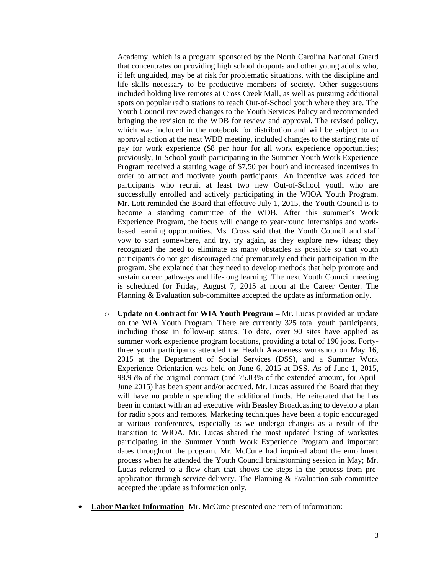Academy, which is a program sponsored by the North Carolina National Guard that concentrates on providing high school dropouts and other young adults who, if left unguided, may be at risk for problematic situations, with the discipline and life skills necessary to be productive members of society. Other suggestions included holding live remotes at Cross Creek Mall, as well as pursuing additional spots on popular radio stations to reach Out-of-School youth where they are. The Youth Council reviewed changes to the Youth Services Policy and recommended bringing the revision to the WDB for review and approval. The revised policy, which was included in the notebook for distribution and will be subject to an approval action at the next WDB meeting, included changes to the starting rate of pay for work experience (\$8 per hour for all work experience opportunities; previously, In-School youth participating in the Summer Youth Work Experience Program received a starting wage of \$7.50 per hour) and increased incentives in order to attract and motivate youth participants. An incentive was added for participants who recruit at least two new Out-of-School youth who are successfully enrolled and actively participating in the WIOA Youth Program. Mr. Lott reminded the Board that effective July 1, 2015, the Youth Council is to become a standing committee of the WDB. After this summer's Work Experience Program, the focus will change to year-round internships and workbased learning opportunities. Ms. Cross said that the Youth Council and staff vow to start somewhere, and try, try again, as they explore new ideas; they recognized the need to eliminate as many obstacles as possible so that youth participants do not get discouraged and prematurely end their participation in the program. She explained that they need to develop methods that help promote and sustain career pathways and life-long learning. The next Youth Council meeting is scheduled for Friday, August 7, 2015 at noon at the Career Center. The Planning & Evaluation sub-committee accepted the update as information only.

- o **Update on Contract for WIA Youth Program –** Mr. Lucas provided an update on the WIA Youth Program. There are currently 325 total youth participants, including those in follow-up status. To date, over 90 sites have applied as summer work experience program locations, providing a total of 190 jobs. Fortythree youth participants attended the Health Awareness workshop on May 16, 2015 at the Department of Social Services (DSS), and a Summer Work Experience Orientation was held on June 6, 2015 at DSS. As of June 1, 2015, 98.95% of the original contract (and 75.03% of the extended amount, for April-June 2015) has been spent and/or accrued. Mr. Lucas assured the Board that they will have no problem spending the additional funds. He reiterated that he has been in contact with an ad executive with Beasley Broadcasting to develop a plan for radio spots and remotes. Marketing techniques have been a topic encouraged at various conferences, especially as we undergo changes as a result of the transition to WIOA. Mr. Lucas shared the most updated listing of worksites participating in the Summer Youth Work Experience Program and important dates throughout the program. Mr. McCune had inquired about the enrollment process when he attended the Youth Council brainstorming session in May; Mr. Lucas referred to a flow chart that shows the steps in the process from preapplication through service delivery. The Planning & Evaluation sub-committee accepted the update as information only.
- **Labor Market Information** Mr. McCune presented one item of information: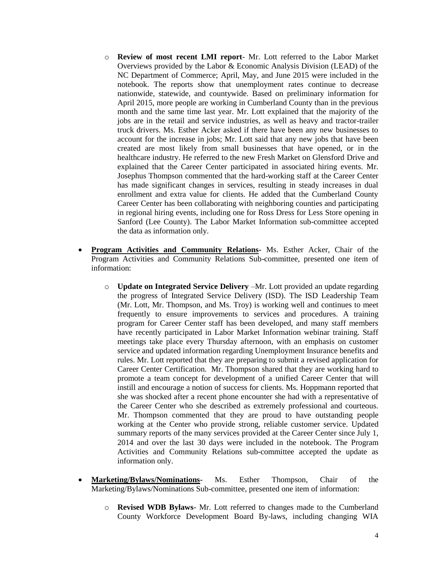- o **Review of most recent LMI report** Mr. Lott referred to the Labor Market Overviews provided by the Labor & Economic Analysis Division (LEAD) of the NC Department of Commerce; April, May, and June 2015 were included in the notebook. The reports show that unemployment rates continue to decrease nationwide, statewide, and countywide. Based on preliminary information for April 2015, more people are working in Cumberland County than in the previous month and the same time last year. Mr. Lott explained that the majority of the jobs are in the retail and service industries, as well as heavy and tractor-trailer truck drivers. Ms. Esther Acker asked if there have been any new businesses to account for the increase in jobs; Mr. Lott said that any new jobs that have been created are most likely from small businesses that have opened, or in the healthcare industry. He referred to the new Fresh Market on Glensford Drive and explained that the Career Center participated in associated hiring events. Mr. Josephus Thompson commented that the hard-working staff at the Career Center has made significant changes in services, resulting in steady increases in dual enrollment and extra value for clients. He added that the Cumberland County Career Center has been collaborating with neighboring counties and participating in regional hiring events, including one for Ross Dress for Less Store opening in Sanford (Lee County). The Labor Market Information sub-committee accepted the data as information only.
- **Program Activities and Community Relations-** Ms. Esther Acker, Chair of the Program Activities and Community Relations Sub-committee, presented one item of information:
	- o **Update on Integrated Service Delivery** –Mr. Lott provided an update regarding the progress of Integrated Service Delivery (ISD). The ISD Leadership Team (Mr. Lott, Mr. Thompson, and Ms. Troy) is working well and continues to meet frequently to ensure improvements to services and procedures. A training program for Career Center staff has been developed, and many staff members have recently participated in Labor Market Information webinar training. Staff meetings take place every Thursday afternoon, with an emphasis on customer service and updated information regarding Unemployment Insurance benefits and rules. Mr. Lott reported that they are preparing to submit a revised application for Career Center Certification. Mr. Thompson shared that they are working hard to promote a team concept for development of a unified Career Center that will instill and encourage a notion of success for clients. Ms. Hoppmann reported that she was shocked after a recent phone encounter she had with a representative of the Career Center who she described as extremely professional and courteous. Mr. Thompson commented that they are proud to have outstanding people working at the Center who provide strong, reliable customer service. Updated summary reports of the many services provided at the Career Center since July 1, 2014 and over the last 30 days were included in the notebook. The Program Activities and Community Relations sub-committee accepted the update as information only.
- **Marketing/Bylaws/Nominations-** Ms. Esther Thompson, Chair of the Marketing/Bylaws/Nominations Sub-committee, presented one item of information:
	- o **Revised WDB Bylaws** Mr. Lott referred to changes made to the Cumberland County Workforce Development Board By-laws, including changing WIA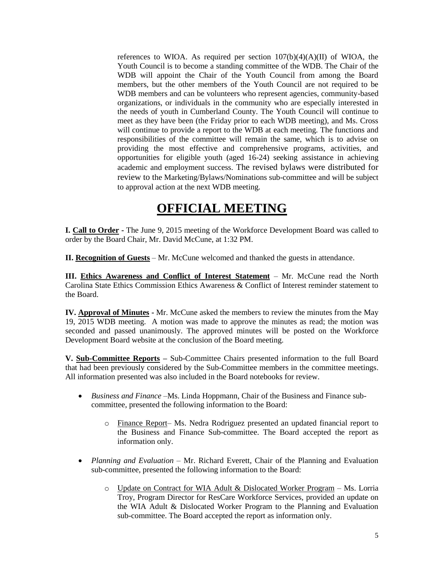references to WIOA. As required per section  $107(b)(4)(A)(II)$  of WIOA, the Youth Council is to become a standing committee of the WDB. The Chair of the WDB will appoint the Chair of the Youth Council from among the Board members, but the other members of the Youth Council are not required to be WDB members and can be volunteers who represent agencies, community-based organizations, or individuals in the community who are especially interested in the needs of youth in Cumberland County. The Youth Council will continue to meet as they have been (the Friday prior to each WDB meeting), and Ms. Cross will continue to provide a report to the WDB at each meeting. The functions and responsibilities of the committee will remain the same, which is to advise on providing the most effective and comprehensive programs, activities, and opportunities for eligible youth (aged 16-24) seeking assistance in achieving academic and employment success. The revised bylaws were distributed for review to the Marketing/Bylaws/Nominations sub-committee and will be subject to approval action at the next WDB meeting.

## **OFFICIAL MEETING**

**I. Call to Order -** The June 9, 2015 meeting of the Workforce Development Board was called to order by the Board Chair, Mr. David McCune, at 1:32 PM.

**II. Recognition of Guests** – Mr. McCune welcomed and thanked the guests in attendance.

**III. Ethics Awareness and Conflict of Interest Statement** – Mr. McCune read the North Carolina State Ethics Commission Ethics Awareness & Conflict of Interest reminder statement to the Board.

**IV. Approval of Minutes -** Mr. McCune asked the members to review the minutes from the May 19, 2015 WDB meeting. A motion was made to approve the minutes as read; the motion was seconded and passed unanimously. The approved minutes will be posted on the Workforce Development Board website at the conclusion of the Board meeting.

**V. Sub-Committee Reports –** Sub-Committee Chairs presented information to the full Board that had been previously considered by the Sub-Committee members in the committee meetings. All information presented was also included in the Board notebooks for review.

- *Business and Finance –*Ms. Linda Hoppmann, Chair of the Business and Finance subcommittee, presented the following information to the Board:
	- o Finance Report– Ms. Nedra Rodriguez presented an updated financial report to the Business and Finance Sub-committee. The Board accepted the report as information only.
- *Planning and Evaluation* Mr. Richard Everett, Chair of the Planning and Evaluation sub-committee, presented the following information to the Board:
	- o Update on Contract for WIA Adult & Dislocated Worker Program Ms. Lorria Troy, Program Director for ResCare Workforce Services, provided an update on the WIA Adult & Dislocated Worker Program to the Planning and Evaluation sub-committee. The Board accepted the report as information only.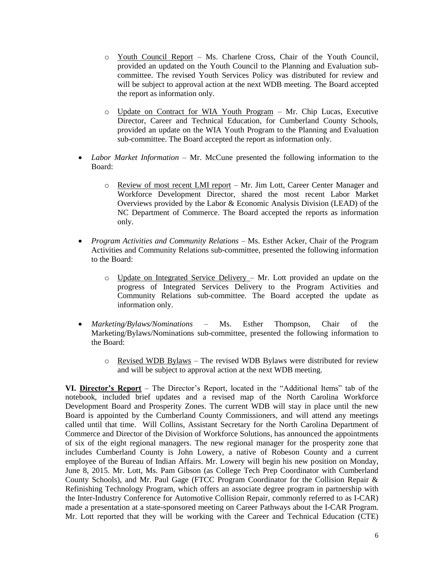- o Youth Council Report Ms. Charlene Cross, Chair of the Youth Council, provided an updated on the Youth Council to the Planning and Evaluation subcommittee. The revised Youth Services Policy was distributed for review and will be subject to approval action at the next WDB meeting. The Board accepted the report as information only.
- o Update on Contract for WIA Youth Program Mr. Chip Lucas, Executive Director, Career and Technical Education, for Cumberland County Schools, provided an update on the WIA Youth Program to the Planning and Evaluation sub-committee. The Board accepted the report as information only.
- *Labor Market Information* Mr. McCune presented the following information to the Board:
	- o Review of most recent LMI report Mr. Jim Lott, Career Center Manager and Workforce Development Director, shared the most recent Labor Market Overviews provided by the Labor & Economic Analysis Division (LEAD) of the NC Department of Commerce. The Board accepted the reports as information only.
- *Program Activities and Community Relations –* Ms. Esther Acker, Chair of the Program Activities and Community Relations sub-committee, presented the following information to the Board:
	- $\circ$  Update on Integrated Service Delivery Mr. Lott provided an update on the progress of Integrated Services Delivery to the Program Activities and Community Relations sub-committee. The Board accepted the update as information only.
- *Marketing/Bylaws/Nominations –* Ms. Esther Thompson, Chair of the Marketing/Bylaws/Nominations sub-committee, presented the following information to the Board:
	- $\circ$  Revised WDB Bylaws The revised WDB Bylaws were distributed for review and will be subject to approval action at the next WDB meeting.

**VI. Director's Report** – The Director's Report, located in the "Additional Items" tab of the notebook, included brief updates and a revised map of the North Carolina Workforce Development Board and Prosperity Zones. The current WDB will stay in place until the new Board is appointed by the Cumberland County Commissioners, and will attend any meetings called until that time. Will Collins, Assistant Secretary for the North Carolina Department of Commerce and Director of the Division of Workforce Solutions, has announced the appointments of six of the eight regional managers. The new regional manager for the prosperity zone that includes Cumberland County is John Lowery, a native of Robeson County and a current employee of the Bureau of Indian Affairs. Mr. Lowery will begin his new position on Monday, June 8, 2015. Mr. Lott, Ms. Pam Gibson (as College Tech Prep Coordinator with Cumberland County Schools), and Mr. Paul Gage (FTCC Program Coordinator for the Collision Repair & Refinishing Technology Program, which offers an associate degree program in partnership with the Inter-Industry Conference for Automotive Collision Repair, commonly referred to as I-CAR) made a presentation at a state-sponsored meeting on Career Pathways about the I-CAR Program. Mr. Lott reported that they will be working with the Career and Technical Education (CTE)